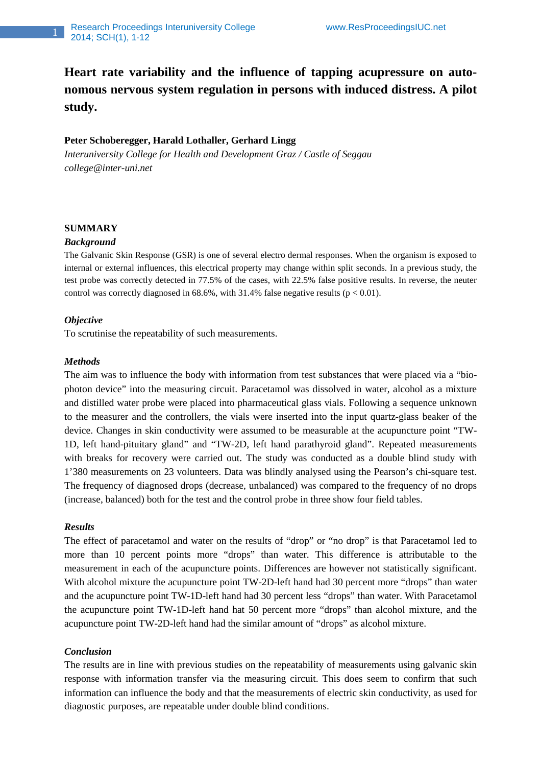**Heart rate variability and the influence of tapping acupressure on autonomous nervous system regulation in persons with induced distress. A pilot study.** 

## **Peter Schoberegger, Harald Lothaller, Gerhard Lingg**

*Interuniversity College for Health and Development Graz / Castle of Seggau college@inter-uni.net*

## **SUMMARY**

#### *Background*

The Galvanic Skin Response (GSR) is one of several electro dermal responses. When the organism is exposed to internal or external influences, this electrical property may change within split seconds. In a previous study, the test probe was correctly detected in 77.5% of the cases, with 22.5% false positive results. In reverse, the neuter control was correctly diagnosed in  $68.6\%$ , with 31.4% false negative results ( $p < 0.01$ ).

## *Objective*

To scrutinise the repeatability of such measurements.

## *Methods*

The aim was to influence the body with information from test substances that were placed via a "biophoton device" into the measuring circuit. Paracetamol was dissolved in water, alcohol as a mixture and distilled water probe were placed into pharmaceutical glass vials. Following a sequence unknown to the measurer and the controllers, the vials were inserted into the input quartz-glass beaker of the device. Changes in skin conductivity were assumed to be measurable at the acupuncture point "TW-1D, left hand-pituitary gland" and "TW-2D, left hand parathyroid gland". Repeated measurements with breaks for recovery were carried out. The study was conducted as a double blind study with 1'380 measurements on 23 volunteers. Data was blindly analysed using the Pearson's chi-square test. The frequency of diagnosed drops (decrease, unbalanced) was compared to the frequency of no drops (increase, balanced) both for the test and the control probe in three show four field tables.

## *Results*

The effect of paracetamol and water on the results of "drop" or "no drop" is that Paracetamol led to more than 10 percent points more "drops" than water. This difference is attributable to the measurement in each of the acupuncture points. Differences are however not statistically significant. With alcohol mixture the acupuncture point TW-2D-left hand had 30 percent more "drops" than water and the acupuncture point TW-1D-left hand had 30 percent less "drops" than water. With Paracetamol the acupuncture point TW-1D-left hand hat 50 percent more "drops" than alcohol mixture, and the acupuncture point TW-2D-left hand had the similar amount of "drops" as alcohol mixture.

## *Conclusion*

The results are in line with previous studies on the repeatability of measurements using galvanic skin response with information transfer via the measuring circuit. This does seem to confirm that such information can influence the body and that the measurements of electric skin conductivity, as used for diagnostic purposes, are repeatable under double blind conditions.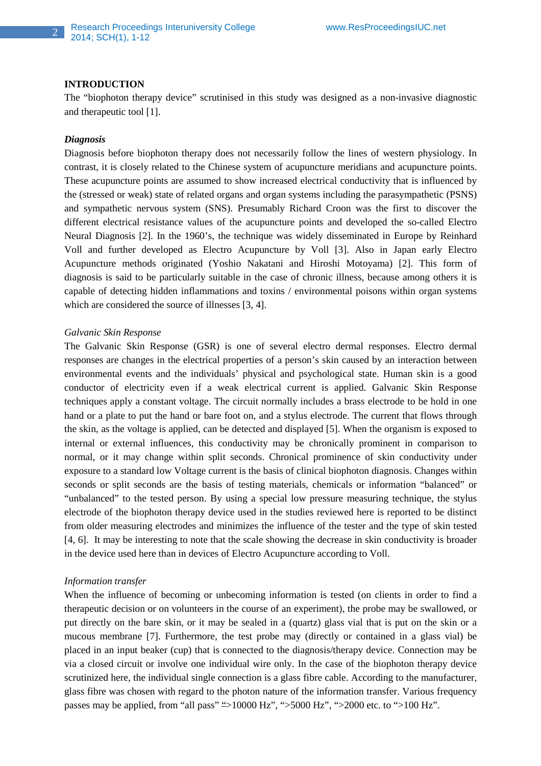#### **INTRODUCTION**

The "biophoton therapy device" scrutinised in this study was designed as a non-invasive diagnostic and therapeutic tool [1].

### *Diagnosis*

Diagnosis before biophoton therapy does not necessarily follow the lines of western physiology. In contrast, it is closely related to the Chinese system of acupuncture meridians and acupuncture points. These acupuncture points are assumed to show increased electrical conductivity that is influenced by the (stressed or weak) state of related organs and organ systems including the parasympathetic (PSNS) and sympathetic nervous system (SNS). Presumably Richard Croon was the first to discover the different electrical resistance values of the acupuncture points and developed the so-called Electro Neural Diagnosis [2]. In the 1960's, the technique was widely disseminated in Europe by Reinhard Voll and further developed as Electro Acupuncture by Voll [3]. Also in Japan early Electro Acupuncture methods originated (Yoshio Nakatani and Hiroshi Motoyama) [2]. This form of diagnosis is said to be particularly suitable in the case of chronic illness, because among others it is capable of detecting hidden inflammations and toxins / environmental poisons within organ systems which are considered the source of illnesses [3, 4].

### *Galvanic Skin Response*

The Galvanic Skin Response (GSR) is one of several electro dermal responses. Electro dermal responses are changes in the electrical properties of a person's skin caused by an interaction between environmental events and the individuals' physical and psychological state. Human skin is a good conductor of electricity even if a weak electrical current is applied. Galvanic Skin Response techniques apply a constant voltage. The circuit normally includes a brass electrode to be hold in one hand or a plate to put the hand or bare foot on, and a stylus electrode. The current that flows through the skin, as the voltage is applied, can be detected and displayed [5]. When the organism is exposed to internal or external influences, this conductivity may be chronically prominent in comparison to normal, or it may change within split seconds. Chronical prominence of skin conductivity under exposure to a standard low Voltage current is the basis of clinical biophoton diagnosis. Changes within seconds or split seconds are the basis of testing materials, chemicals or information "balanced" or "unbalanced" to the tested person. By using a special low pressure measuring technique, the stylus electrode of the biophoton therapy device used in the studies reviewed here is reported to be distinct from older measuring electrodes and minimizes the influence of the tester and the type of skin tested [4, 6]. It may be interesting to note that the scale showing the decrease in skin conductivity is broader in the device used here than in devices of Electro Acupuncture according to Voll.

#### *Information transfer*

When the influence of becoming or unbecoming information is tested (on clients in order to find a therapeutic decision or on volunteers in the course of an experiment), the probe may be swallowed, or put directly on the bare skin, or it may be sealed in a (quartz) glass vial that is put on the skin or a mucous membrane [7]. Furthermore, the test probe may (directly or contained in a glass vial) be placed in an input beaker (cup) that is connected to the diagnosis/therapy device. Connection may be via a closed circuit or involve one individual wire only. In the case of the biophoton therapy device scrutinized here, the individual single connection is a glass fibre cable. According to the manufacturer, glass fibre was chosen with regard to the photon nature of the information transfer. Various frequency passes may be applied, from "all pass" ">10000 Hz", ">5000 Hz", ">2000 etc. to ">100 Hz".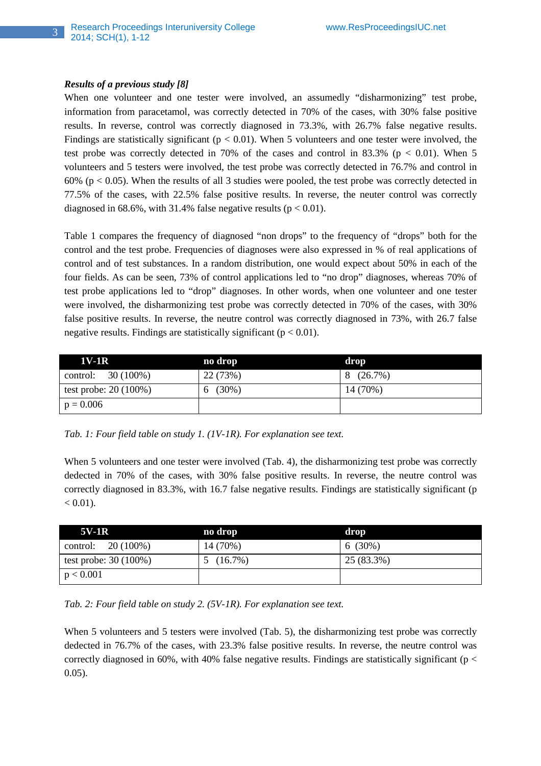## *Results of a previous study [8]*

When one volunteer and one tester were involved, an assumedly "disharmonizing" test probe, information from paracetamol, was correctly detected in 70% of the cases, with 30% false positive results. In reverse, control was correctly diagnosed in 73.3%, with 26.7% false negative results. Findings are statistically significant ( $p < 0.01$ ). When 5 volunteers and one tester were involved, the test probe was correctly detected in 70% of the cases and control in 83.3% ( $p < 0.01$ ). When 5 volunteers and 5 testers were involved, the test probe was correctly detected in 76.7% and control in 60% ( $p < 0.05$ ). When the results of all 3 studies were pooled, the test probe was correctly detected in 77.5% of the cases, with 22.5% false positive results. In reverse, the neuter control was correctly diagnosed in 68.6%, with 31.4% false negative results ( $p < 0.01$ ).

Table 1 compares the frequency of diagnosed "non drops" to the frequency of "drops" both for the control and the test probe. Frequencies of diagnoses were also expressed in % of real applications of control and of test substances. In a random distribution, one would expect about 50% in each of the four fields. As can be seen, 73% of control applications led to "no drop" diagnoses, whereas 70% of test probe applications led to "drop" diagnoses. In other words, when one volunteer and one tester were involved, the disharmonizing test probe was correctly detected in 70% of the cases, with 30% false positive results. In reverse, the neutre control was correctly diagnosed in 73%, with 26.7 false negative results. Findings are statistically significant ( $p < 0.01$ ).

| 1V-1R                  | no drop  | drop     |
|------------------------|----------|----------|
| control: $30(100\%)$   | 22 (73%) | 8(26.7%) |
| test probe: $20(100%)$ | 6(30%)   | 14 (70%) |
| $p = 0.006$            |          |          |

*Tab. 1: Four field table on study 1. (1V-1R). For explanation see text.* 

When 5 volunteers and one tester were involved (Tab. 4), the disharmonizing test probe was correctly dedected in 70% of the cases, with 30% false positive results. In reverse, the neutre control was correctly diagnosed in 83.3%, with 16.7 false negative results. Findings are statistically significant (p  $< 0.01$ ).

| $5V-1R$                | no drop  | drop       |
|------------------------|----------|------------|
| control: $20(100%)$    | 14 (70%) | $6(30\%)$  |
| test probe: $30(100%)$ | 5(16.7%) | 25 (83.3%) |
| p < 0.001              |          |            |

*Tab. 2: Four field table on study 2. (5V-1R). For explanation see text.* 

When 5 volunteers and 5 testers were involved (Tab. 5), the disharmonizing test probe was correctly dedected in 76.7% of the cases, with 23.3% false positive results. In reverse, the neutre control was correctly diagnosed in 60%, with 40% false negative results. Findings are statistically significant ( $p <$ 0.05).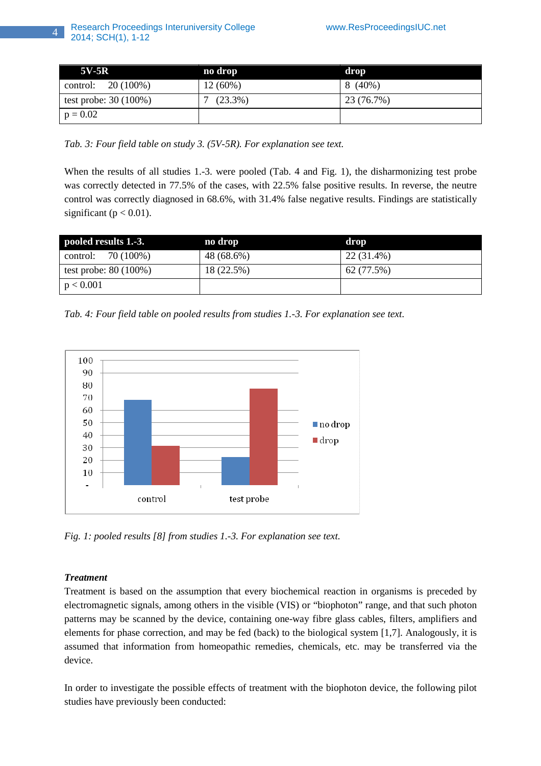| $5V-5R$                | no drop    | drop       |
|------------------------|------------|------------|
| 20 (100%)<br>control:  | $12(60\%)$ | 8 (40%)    |
| test probe: $30(100%)$ | $(23.3\%)$ | 23 (76.7%) |
| $p = 0.02$             |            |            |

*Tab. 3: Four field table on study 3. (5V-5R). For explanation see text.* 

When the results of all studies 1.-3. were pooled (Tab. 4 and Fig. 1), the disharmonizing test probe was correctly detected in 77.5% of the cases, with 22.5% false positive results. In reverse, the neutre control was correctly diagnosed in 68.6%, with 31.4% false negative results. Findings are statistically significant ( $p < 0.01$ ).

| pooled results 1.-3.   | no drop    | drop       |
|------------------------|------------|------------|
| control: $70(100%)$    | 48 (68.6%) | 22 (31.4%) |
| test probe: $80(100%)$ | 18 (22.5%) | 62 (77.5%) |
| p < 0.001              |            |            |

*Tab. 4: Four field table on pooled results from studies 1.-3. For explanation see text.* 



*Fig. 1: pooled results [8] from studies 1.-3. For explanation see text.* 

# *Treatment*

Treatment is based on the assumption that every biochemical reaction in organisms is preceded by electromagnetic signals, among others in the visible (VIS) or "biophoton" range, and that such photon patterns may be scanned by the device, containing one-way fibre glass cables, filters, amplifiers and elements for phase correction, and may be fed (back) to the biological system [1,7]. Analogously, it is assumed that information from homeopathic remedies, chemicals, etc. may be transferred via the device.

In order to investigate the possible effects of treatment with the biophoton device, the following pilot studies have previously been conducted: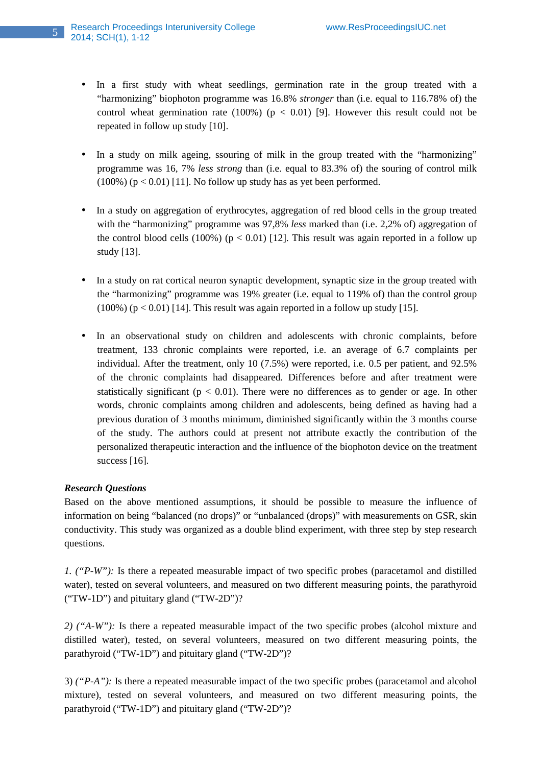- In a first study with wheat seedlings, germination rate in the group treated with a "harmonizing" biophoton programme was 16.8% *stronger* than (i.e. equal to 116.78% of) the control wheat germination rate  $(100\%)$  ( $p < 0.01$ ) [9]. However this result could not be repeated in follow up study [10].
- In a study on milk ageing, ssouring of milk in the group treated with the "harmonizing" programme was 16, 7% *less strong* than (i.e. equal to 83.3% of) the souring of control milk  $(100\%)$  (p < 0.01) [11]. No follow up study has as yet been performed.
- In a study on aggregation of erythrocytes, aggregation of red blood cells in the group treated with the "harmonizing" programme was 97,8% *less* marked than (i.e. 2,2% of) aggregation of the control blood cells (100%) ( $p < 0.01$ ) [12]. This result was again reported in a follow up study [13].
- In a study on rat cortical neuron synaptic development, synaptic size in the group treated with the "harmonizing" programme was 19% greater (i.e. equal to 119% of) than the control group  $(100\%)$  (p < 0.01) [14]. This result was again reported in a follow up study [15].
- In an observational study on children and adolescents with chronic complaints, before treatment, 133 chronic complaints were reported, i.e. an average of 6.7 complaints per individual. After the treatment, only 10 (7.5%) were reported, i.e. 0.5 per patient, and 92.5% of the chronic complaints had disappeared. Differences before and after treatment were statistically significant ( $p < 0.01$ ). There were no differences as to gender or age. In other words, chronic complaints among children and adolescents, being defined as having had a previous duration of 3 months minimum, diminished significantly within the 3 months course of the study. The authors could at present not attribute exactly the contribution of the personalized therapeutic interaction and the influence of the biophoton device on the treatment success [16].

## *Research Questions*

Based on the above mentioned assumptions, it should be possible to measure the influence of information on being "balanced (no drops)" or "unbalanced (drops)" with measurements on GSR, skin conductivity. This study was organized as a double blind experiment, with three step by step research questions.

*1. ("P-W"):* Is there a repeated measurable impact of two specific probes (paracetamol and distilled water), tested on several volunteers, and measured on two different measuring points, the parathyroid ("TW-1D") and pituitary gland ("TW-2D")?

*2) ("A-W"):* Is there a repeated measurable impact of the two specific probes (alcohol mixture and distilled water), tested, on several volunteers, measured on two different measuring points, the parathyroid ("TW-1D") and pituitary gland ("TW-2D")?

3) *("P-A"):* Is there a repeated measurable impact of the two specific probes (paracetamol and alcohol mixture), tested on several volunteers, and measured on two different measuring points, the parathyroid ("TW-1D") and pituitary gland ("TW-2D")?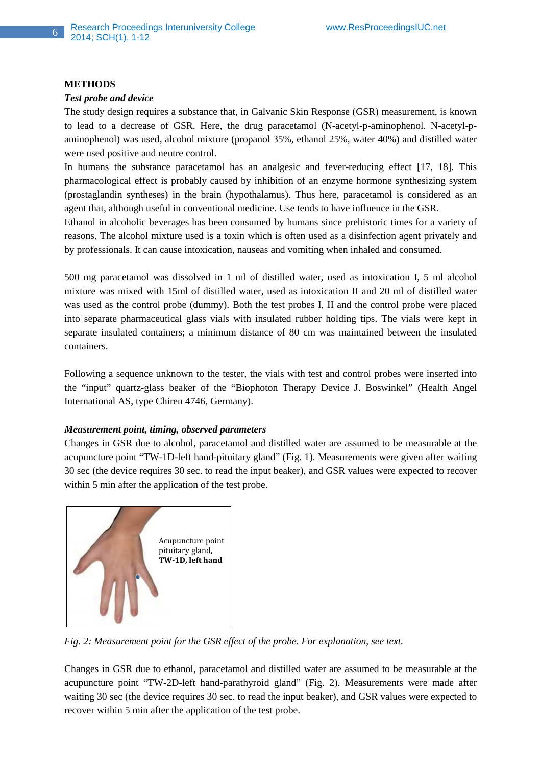#### **METHODS**

## *Test probe and device*

The study design requires a substance that, in Galvanic Skin Response (GSR) measurement, is known to lead to a decrease of GSR. Here, the drug paracetamol (N-acetyl-p-aminophenol. N-acetyl-paminophenol) was used, alcohol mixture (propanol 35%, ethanol 25%, water 40%) and distilled water were used positive and neutre control.

In humans the substance paracetamol has an analgesic and fever-reducing effect [17, 18]. This pharmacological effect is probably caused by inhibition of an enzyme hormone synthesizing system (prostaglandin syntheses) in the brain (hypothalamus). Thus here, paracetamol is considered as an agent that, although useful in conventional medicine. Use tends to have influence in the GSR.

Ethanol in alcoholic beverages has been consumed by humans since prehistoric times for a variety of reasons. The alcohol mixture used is a toxin which is often used as a disinfection agent privately and by professionals. It can cause intoxication, nauseas and vomiting when inhaled and consumed.

500 mg paracetamol was dissolved in 1 ml of distilled water, used as intoxication I, 5 ml alcohol mixture was mixed with 15ml of distilled water, used as intoxication II and 20 ml of distilled water was used as the control probe (dummy). Both the test probes I, II and the control probe were placed into separate pharmaceutical glass vials with insulated rubber holding tips. The vials were kept in separate insulated containers; a minimum distance of 80 cm was maintained between the insulated containers.

Following a sequence unknown to the tester, the vials with test and control probes were inserted into the "input" quartz-glass beaker of the "Biophoton Therapy Device J. Boswinkel" (Health Angel International AS, type Chiren 4746, Germany).

### *Measurement point, timing, observed parameters*

Changes in GSR due to alcohol, paracetamol and distilled water are assumed to be measurable at the acupuncture point "TW-1D-left hand-pituitary gland" (Fig. 1). Measurements were given after waiting 30 sec (the device requires 30 sec. to read the input beaker), and GSR values were expected to recover within 5 min after the application of the test probe.



*Fig. 2: Measurement point for the GSR effect of the probe. For explanation, see text.* 

Changes in GSR due to ethanol, paracetamol and distilled water are assumed to be measurable at the acupuncture point "TW-2D-left hand-parathyroid gland" (Fig. 2). Measurements were made after waiting 30 sec (the device requires 30 sec. to read the input beaker), and GSR values were expected to recover within 5 min after the application of the test probe.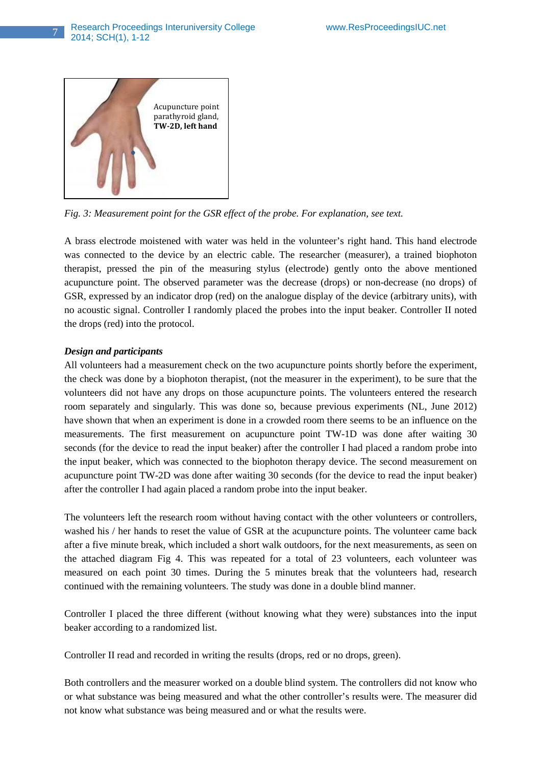

*Fig. 3: Measurement point for the GSR effect of the probe. For explanation, see text.* 

A brass electrode moistened with water was held in the volunteer's right hand. This hand electrode was connected to the device by an electric cable. The researcher (measurer), a trained biophoton therapist, pressed the pin of the measuring stylus (electrode) gently onto the above mentioned acupuncture point. The observed parameter was the decrease (drops) or non-decrease (no drops) of GSR, expressed by an indicator drop (red) on the analogue display of the device (arbitrary units), with no acoustic signal. Controller I randomly placed the probes into the input beaker. Controller II noted the drops (red) into the protocol.

## *Design and participants*

All volunteers had a measurement check on the two acupuncture points shortly before the experiment, the check was done by a biophoton therapist, (not the measurer in the experiment), to be sure that the volunteers did not have any drops on those acupuncture points. The volunteers entered the research room separately and singularly. This was done so, because previous experiments (NL, June 2012) have shown that when an experiment is done in a crowded room there seems to be an influence on the measurements. The first measurement on acupuncture point TW-1D was done after waiting 30 seconds (for the device to read the input beaker) after the controller I had placed a random probe into the input beaker, which was connected to the biophoton therapy device. The second measurement on acupuncture point TW-2D was done after waiting 30 seconds (for the device to read the input beaker) after the controller I had again placed a random probe into the input beaker.

The volunteers left the research room without having contact with the other volunteers or controllers, washed his / her hands to reset the value of GSR at the acupuncture points. The volunteer came back after a five minute break, which included a short walk outdoors, for the next measurements, as seen on the attached diagram Fig 4. This was repeated for a total of 23 volunteers, each volunteer was measured on each point 30 times. During the 5 minutes break that the volunteers had, research continued with the remaining volunteers. The study was done in a double blind manner.

Controller I placed the three different (without knowing what they were) substances into the input beaker according to a randomized list.

Controller II read and recorded in writing the results (drops, red or no drops, green).

Both controllers and the measurer worked on a double blind system. The controllers did not know who or what substance was being measured and what the other controller's results were. The measurer did not know what substance was being measured and or what the results were.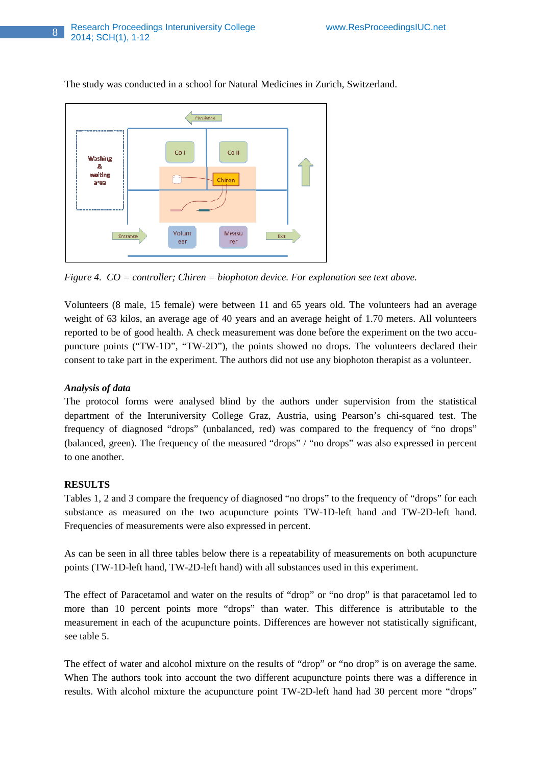

The study was conducted in a school for Natural Medicines in Zurich, Switzerland.

*Figure 4. CO = controller; Chiren = biophoton device. For explanation see text above.* 

Volunteers (8 male, 15 female) were between 11 and 65 years old. The volunteers had an average weight of 63 kilos, an average age of 40 years and an average height of 1.70 meters. All volunteers reported to be of good health. A check measurement was done before the experiment on the two accupuncture points ("TW-1D", "TW-2D"), the points showed no drops. The volunteers declared their consent to take part in the experiment. The authors did not use any biophoton therapist as a volunteer.

## *Analysis of data*

The protocol forms were analysed blind by the authors under supervision from the statistical department of the Interuniversity College Graz, Austria, using Pearson's chi-squared test. The frequency of diagnosed "drops" (unbalanced, red) was compared to the frequency of "no drops" (balanced, green). The frequency of the measured "drops" / "no drops" was also expressed in percent to one another.

## **RESULTS**

Tables 1, 2 and 3 compare the frequency of diagnosed "no drops" to the frequency of "drops" for each substance as measured on the two acupuncture points TW-1D-left hand and TW-2D-left hand. Frequencies of measurements were also expressed in percent.

As can be seen in all three tables below there is a repeatability of measurements on both acupuncture points (TW-1D-left hand, TW-2D-left hand) with all substances used in this experiment.

The effect of Paracetamol and water on the results of "drop" or "no drop" is that paracetamol led to more than 10 percent points more "drops" than water. This difference is attributable to the measurement in each of the acupuncture points. Differences are however not statistically significant, see table 5.

The effect of water and alcohol mixture on the results of "drop" or "no drop" is on average the same. When The authors took into account the two different acupuncture points there was a difference in results. With alcohol mixture the acupuncture point TW-2D-left hand had 30 percent more "drops"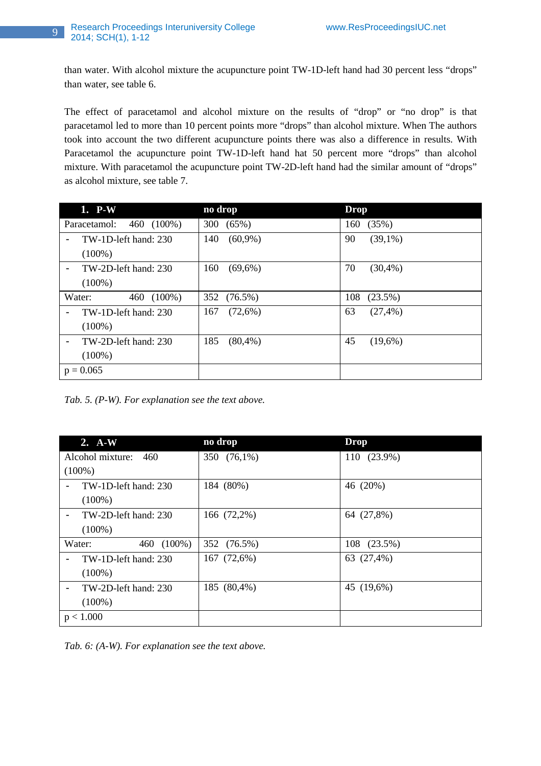## 9 Research Proceedings Interuniversity College www.ResProceedingsIUC.net 2014; SCH(1), 1-12

than water. With alcohol mixture the acupuncture point TW-1D-left hand had 30 percent less "drops" than water, see table 6.

The effect of paracetamol and alcohol mixture on the results of "drop" or "no drop" is that paracetamol led to more than 10 percent points more "drops" than alcohol mixture. When The authors took into account the two different acupuncture points there was also a difference in results. With Paracetamol the acupuncture point TW-1D-left hand hat 50 percent more "drops" than alcohol mixture. With paracetamol the acupuncture point TW-2D-left hand had the similar amount of "drops" as alcohol mixture, see table 7.

| 1. P-W                                 | no drop            | <b>Drop</b>       |
|----------------------------------------|--------------------|-------------------|
| Paracetamol:<br>460 (100%)             | 300<br>$(65\%)$    | (35%)<br>160      |
| TW-1D-left hand: 230<br>$\blacksquare$ | $(60,9\%)$<br>140  | 90<br>$(39,1\%)$  |
| $(100\%)$                              |                    |                   |
| TW-2D-left hand: 230<br>$\blacksquare$ | $(69,6\%)$<br>160  | 70<br>(30,4%      |
| $(100\%)$                              |                    |                   |
| $(100\%)$<br>Water:<br>460             | 352 (76.5%)        | 108<br>$(23.5\%)$ |
| TW-1D-left hand: 230<br>$\blacksquare$ | (72,6%)<br>167     | 63<br>$(27, 4\%)$ |
| $(100\%)$                              |                    |                   |
| TW-2D-left hand: 230<br>$\blacksquare$ | 185<br>$(80, 4\%)$ | 45<br>$(19,6\%)$  |
| $(100\%)$                              |                    |                   |
| $p = 0.065$                            |                    |                   |

*Tab. 5. (P-W). For explanation see the text above.* 

| $2. A-W$                                         | no drop     | <b>Drop</b> |
|--------------------------------------------------|-------------|-------------|
| Alcohol mixture:<br>460                          | 350 (76,1%) | 110 (23.9%) |
| $(100\%)$                                        |             |             |
| TW-1D-left hand: 230<br>$\blacksquare$           | 184 (80%)   | 46 (20%)    |
| $(100\%)$                                        |             |             |
| TW-2D-left hand: 230<br>$\blacksquare$           | 166 (72,2%) | 64 (27,8%)  |
| $(100\%)$                                        |             |             |
| 460 (100%)<br>Water:                             | 352 (76.5%) | 108 (23.5%) |
| TW-1D-left hand: 230<br>$\blacksquare$           | 167 (72,6%) | 63 (27,4%)  |
| $(100\%)$                                        |             |             |
| TW-2D-left hand: 230<br>$\overline{\phantom{a}}$ | 185 (80,4%) | 45 (19,6%)  |
| $(100\%)$                                        |             |             |
| p < 1.000                                        |             |             |

*Tab. 6: (A-W). For explanation see the text above.*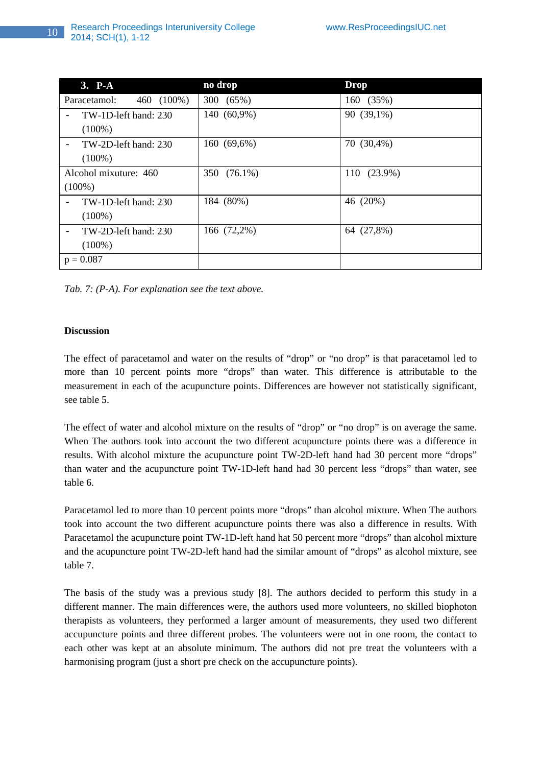| $3. \overline{P-A}$                              | no drop     | <b>Drop</b> |
|--------------------------------------------------|-------------|-------------|
| 460 (100%)<br>Paracetamol:                       | 300 (65%)   | 160 (35%)   |
| TW-1D-left hand: 230<br>$\overline{\phantom{a}}$ | 140 (60,9%) | 90 (39,1%)  |
| $(100\%)$                                        |             |             |
| TW-2D-left hand: 230<br>$\overline{\phantom{a}}$ | 160 (69,6%) | 70 (30,4%)  |
| $(100\%)$                                        |             |             |
| Alcohol mixuture: 460                            | 350 (76.1%) | 110 (23.9%) |
| $(100\%)$                                        |             |             |
| TW-1D-left hand: 230<br>$\overline{\phantom{a}}$ | 184 (80%)   | 46 (20%)    |
| $(100\%)$                                        |             |             |
| TW-2D-left hand: 230<br>$\blacksquare$           | 166 (72,2%) | 64 (27,8%)  |
| $(100\%)$                                        |             |             |
| $p = 0.087$                                      |             |             |

*Tab. 7: (P-A). For explanation see the text above.* 

## **Discussion**

The effect of paracetamol and water on the results of "drop" or "no drop" is that paracetamol led to more than 10 percent points more "drops" than water. This difference is attributable to the measurement in each of the acupuncture points. Differences are however not statistically significant, see table 5.

The effect of water and alcohol mixture on the results of "drop" or "no drop" is on average the same. When The authors took into account the two different acupuncture points there was a difference in results. With alcohol mixture the acupuncture point TW-2D-left hand had 30 percent more "drops" than water and the acupuncture point TW-1D-left hand had 30 percent less "drops" than water, see table 6.

Paracetamol led to more than 10 percent points more "drops" than alcohol mixture. When The authors took into account the two different acupuncture points there was also a difference in results. With Paracetamol the acupuncture point TW-1D-left hand hat 50 percent more "drops" than alcohol mixture and the acupuncture point TW-2D-left hand had the similar amount of "drops" as alcohol mixture, see table 7.

The basis of the study was a previous study [8]. The authors decided to perform this study in a different manner. The main differences were, the authors used more volunteers, no skilled biophoton therapists as volunteers, they performed a larger amount of measurements, they used two different accupuncture points and three different probes. The volunteers were not in one room, the contact to each other was kept at an absolute minimum. The authors did not pre treat the volunteers with a harmonising program (just a short pre check on the accupuncture points).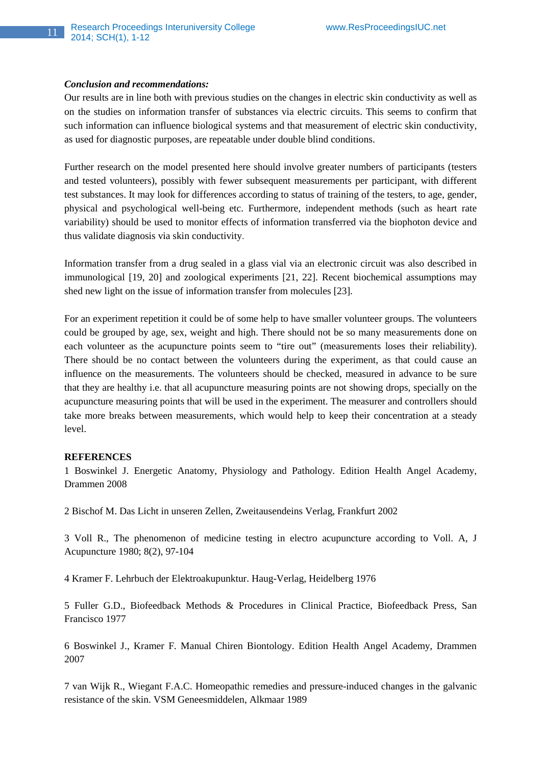#### *Conclusion and recommendations:*

Our results are in line both with previous studies on the changes in electric skin conductivity as well as on the studies on information transfer of substances via electric circuits. This seems to confirm that such information can influence biological systems and that measurement of electric skin conductivity, as used for diagnostic purposes, are repeatable under double blind conditions.

Further research on the model presented here should involve greater numbers of participants (testers and tested volunteers), possibly with fewer subsequent measurements per participant, with different test substances. It may look for differences according to status of training of the testers, to age, gender, physical and psychological well-being etc. Furthermore, independent methods (such as heart rate variability) should be used to monitor effects of information transferred via the biophoton device and thus validate diagnosis via skin conductivity.

Information transfer from a drug sealed in a glass vial via an electronic circuit was also described in immunological [19, 20] and zoological experiments [21, 22]. Recent biochemical assumptions may shed new light on the issue of information transfer from molecules [23].

For an experiment repetition it could be of some help to have smaller volunteer groups. The volunteers could be grouped by age, sex, weight and high. There should not be so many measurements done on each volunteer as the acupuncture points seem to "tire out" (measurements loses their reliability). There should be no contact between the volunteers during the experiment, as that could cause an influence on the measurements. The volunteers should be checked, measured in advance to be sure that they are healthy i.e. that all acupuncture measuring points are not showing drops, specially on the acupuncture measuring points that will be used in the experiment. The measurer and controllers should take more breaks between measurements, which would help to keep their concentration at a steady level.

#### **REFERENCES**

1 Boswinkel J. Energetic Anatomy, Physiology and Pathology. Edition Health Angel Academy, Drammen 2008

2 Bischof M. Das Licht in unseren Zellen, Zweitausendeins Verlag, Frankfurt 2002

3 Voll R., The phenomenon of medicine testing in electro acupuncture according to Voll. A, J Acupuncture 1980; 8(2), 97-104

4 Kramer F. Lehrbuch der Elektroakupunktur. Haug-Verlag, Heidelberg 1976

5 Fuller G.D., Biofeedback Methods & Procedures in Clinical Practice, Biofeedback Press, San Francisco 1977

6 Boswinkel J., Kramer F. Manual Chiren Biontology. Edition Health Angel Academy, Drammen 2007

7 van Wijk R., Wiegant F.A.C. Homeopathic remedies and pressure-induced changes in the galvanic resistance of the skin. VSM Geneesmiddelen, Alkmaar 1989